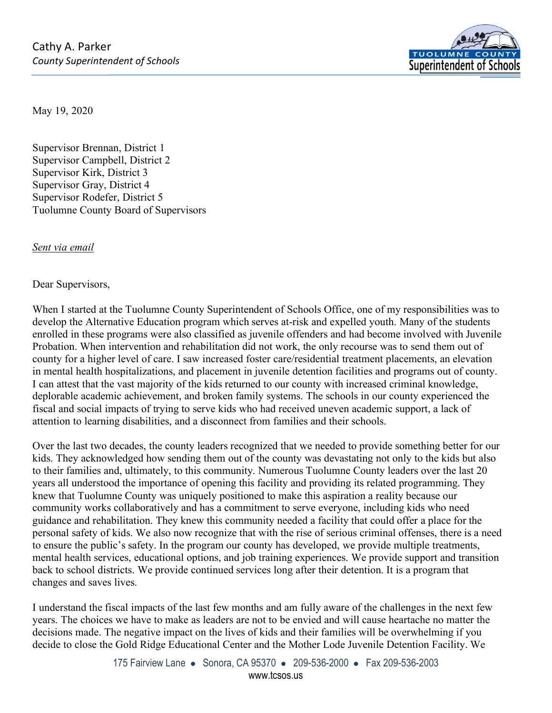

May 19, 2020

Supervisor Brennan, District 1 Supervisor Campbell, District 2 Supervisor Kirk, District 3 Supervisor Gray, District 4 Supervisor Rodefer, District 5 Tuolumne County Board of Supervisors

*Sent via email*

Dear Supervisors,

When I started at the Tuolumne County Superintendent of Schools Office, one of my responsibilities was to develop the Alternative Education program which serves at-risk and expelled youth. Many of the students enrolled in these programs were also classified as juvenile offenders and had become involved with Juvenile Probation. When intervention and rehabilitation did not work, the only recourse was to send them out of county for a higher level of care. I saw increased foster care/residential treatment placements, an elevation in mental health hospitalizations, and placement in juvenile detention facilities and programs out of county. I can attest that the vast majority of the kids returned to our county with increased criminal knowledge, deplorable academic achievement, and broken family systems. The schools in our county experienced the fiscal and social impacts of trying to serve kids who had received uneven academic support, a lack of attention to learning disabilities, and a disconnect from families and their schools.

Over the last two decades, the county leaders recognized that we needed to provide something better for our kids. They acknowledged how sending them out of the county was devastating not only to the kids but also to their families and, ultimately, to this community. Numerous Tuolumne County leaders over the last 20 years all understood the importance of opening this facility and providing its related programming. They knew that Tuolumne County was uniquely positioned to make this aspiration a reality because our community works collaboratively and has a commitment to serve everyone, including kids who need guidance and rehabilitation. They knew this community needed a facility that could offer a place for the personal safety of kids. We also now recognize that with the rise of serious criminal offenses, there is a need to ensure the public's safety. In the program our county has developed, we provide multiple treatments, mental health services, educational options, and job training experiences. We provide support and transition back to school districts. We provide continued services long after their detention. It is a program that changes and saves lives.

I understand the fiscal impacts of the last few months and am fully aware of the challenges in the next few years. The choices we have to make as leaders are not to be envied and will cause heartache no matter the decisions made. The negative impact on the lives of kids and their families will be overwhelming if you decide to close the Gold Ridge Educational Center and the Mother Lode Juvenile Detention Facility. We

> 175 Fairview Lane • Sonora, CA 95370 • 209-536-2000 • Fax 209-536-2003 www.tcsos.us